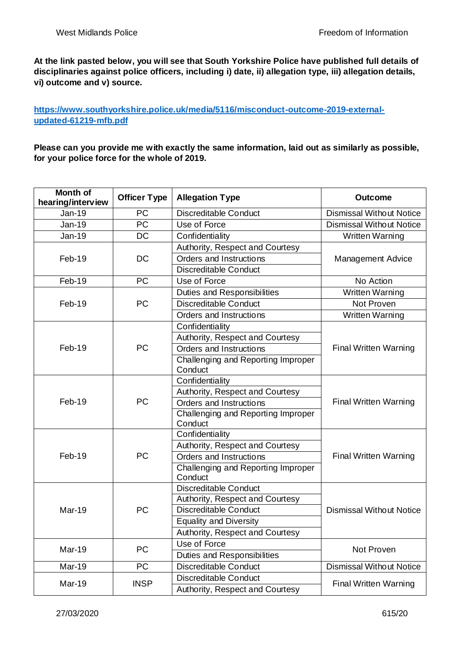**At the link pasted below, you will see that South Yorkshire Police have published full details of disciplinaries against police officers, including i) date, ii) allegation type, iii) allegation details, vi) outcome and v) source.** 

**[https://www.southyorkshire.police.uk/media/5116/misconduct-outcome-2019-external](https://www.southyorkshire.police.uk/media/5116/misconduct-outcome-2019-external-updated-61219-mfb.pdf)[updated-61219-mfb.pdf](https://www.southyorkshire.police.uk/media/5116/misconduct-outcome-2019-external-updated-61219-mfb.pdf)**

**Please can you provide me with exactly the same information, laid out as similarly as possible, for your police force for the whole of 2019.**

| <b>Month of</b><br>hearing/interview | <b>Officer Type</b> | <b>Allegation Type</b>                        | <b>Outcome</b>                  |
|--------------------------------------|---------------------|-----------------------------------------------|---------------------------------|
| <b>Jan-19</b>                        | <b>PC</b>           | <b>Discreditable Conduct</b>                  | <b>Dismissal Without Notice</b> |
| <b>Jan-19</b>                        | $\overline{PC}$     | Use of Force                                  | <b>Dismissal Without Notice</b> |
| <b>Jan-19</b>                        | <b>DC</b>           | Confidentiality                               | <b>Written Warning</b>          |
|                                      |                     | Authority, Respect and Courtesy               |                                 |
| Feb-19                               | <b>DC</b>           | Orders and Instructions                       | <b>Management Advice</b>        |
|                                      |                     | Discreditable Conduct                         |                                 |
| Feb-19                               | PC                  | Use of Force                                  | No Action                       |
|                                      |                     | <b>Duties and Responsibilities</b>            | <b>Written Warning</b>          |
| Feb-19                               | PC                  | <b>Discreditable Conduct</b>                  | Not Proven                      |
|                                      |                     | Orders and Instructions                       | <b>Written Warning</b>          |
|                                      |                     | Confidentiality                               |                                 |
|                                      |                     | Authority, Respect and Courtesy               |                                 |
| Feb-19                               | PC                  | Orders and Instructions                       | <b>Final Written Warning</b>    |
|                                      |                     | Challenging and Reporting Improper<br>Conduct |                                 |
|                                      | <b>PC</b>           | Confidentiality                               | <b>Final Written Warning</b>    |
|                                      |                     | Authority, Respect and Courtesy               |                                 |
| Feb-19                               |                     | Orders and Instructions                       |                                 |
|                                      |                     | Challenging and Reporting Improper<br>Conduct |                                 |
|                                      |                     | Confidentiality                               |                                 |
|                                      |                     | Authority, Respect and Courtesy               |                                 |
| Feb-19                               | <b>PC</b>           | Orders and Instructions                       | <b>Final Written Warning</b>    |
|                                      |                     | Challenging and Reporting Improper<br>Conduct |                                 |
| Mar-19                               | PC                  | <b>Discreditable Conduct</b>                  | <b>Dismissal Without Notice</b> |
|                                      |                     | Authority, Respect and Courtesy               |                                 |
|                                      |                     | <b>Discreditable Conduct</b>                  |                                 |
|                                      |                     | <b>Equality and Diversity</b>                 |                                 |
|                                      |                     | Authority, Respect and Courtesy               |                                 |
| <b>Mar-19</b>                        | <b>PC</b>           | Use of Force                                  | Not Proven                      |
|                                      |                     | <b>Duties and Responsibilities</b>            |                                 |
| Mar-19                               | <b>PC</b>           | <b>Discreditable Conduct</b>                  | <b>Dismissal Without Notice</b> |
| Mar-19                               | <b>INSP</b>         | Discreditable Conduct                         | <b>Final Written Warning</b>    |
|                                      |                     | Authority, Respect and Courtesy               |                                 |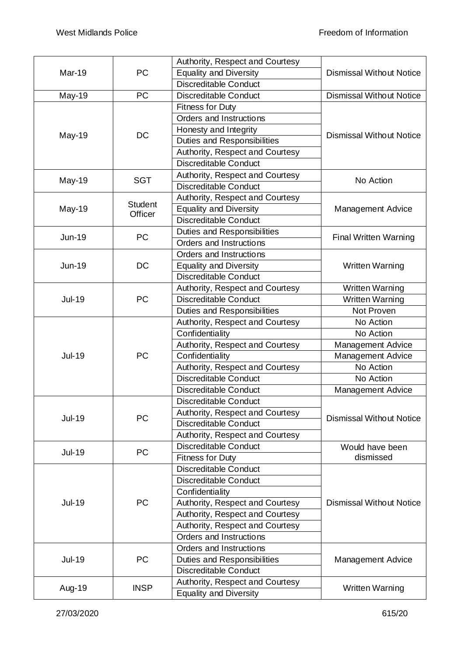|               |                           | Authority, Respect and Courtesy    |                                 |
|---------------|---------------------------|------------------------------------|---------------------------------|
| Mar-19        | PC                        | <b>Equality and Diversity</b>      | <b>Dismissal Without Notice</b> |
|               |                           | Discreditable Conduct              |                                 |
| May-19        | PC                        | Discreditable Conduct              | <b>Dismissal Without Notice</b> |
|               |                           | Fitness for Duty                   |                                 |
|               |                           | Orders and Instructions            |                                 |
| May-19        | DC                        | Honesty and Integrity              |                                 |
|               |                           | <b>Duties and Responsibilities</b> | <b>Dismissal Without Notice</b> |
|               |                           | Authority, Respect and Courtesy    |                                 |
|               |                           | <b>Discreditable Conduct</b>       |                                 |
| May-19        |                           | Authority, Respect and Courtesy    |                                 |
|               | <b>SGT</b>                | Discreditable Conduct              | No Action                       |
|               |                           | Authority, Respect and Courtesy    |                                 |
| May-19        | <b>Student</b><br>Officer | <b>Equality and Diversity</b>      | <b>Management Advice</b>        |
|               |                           | <b>Discreditable Conduct</b>       |                                 |
|               |                           | <b>Duties and Responsibilities</b> |                                 |
| Jun-19        | PC                        | Orders and Instructions            | <b>Final Written Warning</b>    |
|               |                           | Orders and Instructions            |                                 |
| Jun-19        | DC                        | <b>Equality and Diversity</b>      | <b>Written Warning</b>          |
|               |                           | <b>Discreditable Conduct</b>       |                                 |
|               |                           | Authority, Respect and Courtesy    | <b>Written Warning</b>          |
| <b>Jul-19</b> | PC                        | <b>Discreditable Conduct</b>       | <b>Written Warning</b>          |
|               |                           | <b>Duties and Responsibilities</b> | Not Proven                      |
|               |                           | Authority, Respect and Courtesy    | No Action                       |
|               |                           | Confidentiality                    | No Action                       |
|               | PC                        | Authority, Respect and Courtesy    | Management Advice               |
| <b>Jul-19</b> |                           | Confidentiality                    | Management Advice               |
|               |                           | Authority, Respect and Courtesy    | No Action                       |
|               |                           | <b>Discreditable Conduct</b>       | No Action                       |
|               |                           | Discreditable Conduct              | <b>Management Advice</b>        |
|               | PC                        | Discreditable Conduct              | <b>Dismissal Without Notice</b> |
| <b>Jul-19</b> |                           | Authority, Respect and Courtesy    |                                 |
|               |                           | <b>Discreditable Conduct</b>       |                                 |
|               |                           | Authority, Respect and Courtesy    |                                 |
|               | PC                        | <b>Discreditable Conduct</b>       | Would have been                 |
| <b>Jul-19</b> |                           | <b>Fitness for Duty</b>            | dismissed                       |
| <b>Jul-19</b> | PC                        | <b>Discreditable Conduct</b>       |                                 |
|               |                           | <b>Discreditable Conduct</b>       |                                 |
|               |                           | Confidentiality                    |                                 |
|               |                           | Authority, Respect and Courtesy    | <b>Dismissal Without Notice</b> |
|               |                           | Authority, Respect and Courtesy    |                                 |
|               |                           | Authority, Respect and Courtesy    |                                 |
|               |                           | Orders and Instructions            |                                 |
| <b>Jul-19</b> | PC                        | Orders and Instructions            | <b>Management Advice</b>        |
|               |                           | Duties and Responsibilities        |                                 |
|               |                           | <b>Discreditable Conduct</b>       |                                 |
|               |                           | Authority, Respect and Courtesy    |                                 |
| Aug-19        | <b>INSP</b>               | <b>Equality and Diversity</b>      | Written Warning                 |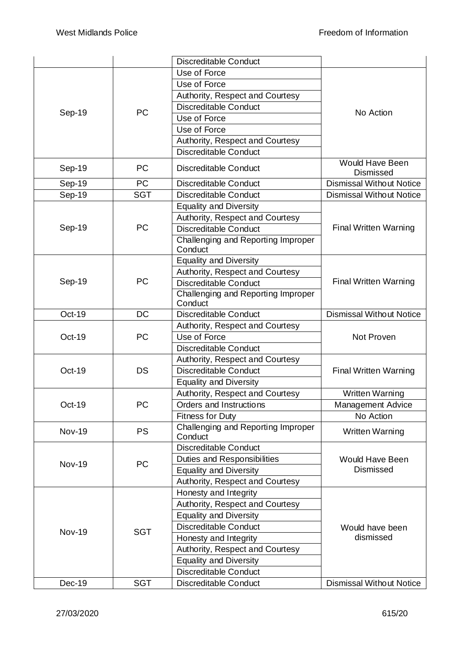|               |            | Discreditable Conduct                                    |                                            |
|---------------|------------|----------------------------------------------------------|--------------------------------------------|
| Sep-19        | <b>PC</b>  | Use of Force                                             | No Action                                  |
|               |            | Use of Force                                             |                                            |
|               |            | Authority, Respect and Courtesy                          |                                            |
|               |            | <b>Discreditable Conduct</b>                             |                                            |
|               |            | Use of Force                                             |                                            |
|               |            | Use of Force                                             |                                            |
|               |            | Authority, Respect and Courtesy                          |                                            |
|               |            | <b>Discreditable Conduct</b>                             |                                            |
| Sep-19        | <b>PC</b>  | <b>Discreditable Conduct</b>                             | <b>Would Have Been</b><br><b>Dismissed</b> |
| Sep-19        | <b>PC</b>  | <b>Discreditable Conduct</b>                             | <b>Dismissal Without Notice</b>            |
| Sep-19        | <b>SGT</b> | <b>Discreditable Conduct</b>                             | <b>Dismissal Without Notice</b>            |
|               |            | <b>Equality and Diversity</b>                            |                                            |
|               |            | Authority, Respect and Courtesy                          |                                            |
| Sep-19        | PC         | <b>Discreditable Conduct</b>                             | <b>Final Written Warning</b>               |
|               |            | Challenging and Reporting Improper<br>Conduct            |                                            |
|               |            | <b>Equality and Diversity</b>                            |                                            |
|               |            | Authority, Respect and Courtesy                          |                                            |
| Sep-19        | PC         | <b>Discreditable Conduct</b>                             | <b>Final Written Warning</b>               |
|               |            | Challenging and Reporting Improper                       |                                            |
|               |            | Conduct                                                  |                                            |
| Oct-19        | <b>DC</b>  | <b>Discreditable Conduct</b>                             | <b>Dismissal Without Notice</b>            |
|               |            | Authority, Respect and Courtesy                          |                                            |
| Oct-19        | PC         | Use of Force                                             | Not Proven                                 |
|               |            | <b>Discreditable Conduct</b>                             |                                            |
|               | DS         | Authority, Respect and Courtesy                          | <b>Final Written Warning</b>               |
| Oct-19        |            | <b>Discreditable Conduct</b>                             |                                            |
|               |            | <b>Equality and Diversity</b>                            |                                            |
|               |            | Authority, Respect and Courtesy                          |                                            |
| Oct-19        |            |                                                          | Written Warning                            |
|               | PC         | Orders and Instructions                                  |                                            |
|               |            | <b>Fitness for Duty</b>                                  | Management Advice<br>No Action             |
| <b>Nov-19</b> | <b>PS</b>  | Challenging and Reporting Improper                       | <b>Written Warning</b>                     |
|               |            | Conduct                                                  |                                            |
|               |            | <b>Discreditable Conduct</b>                             |                                            |
| <b>Nov-19</b> | PC         | Duties and Responsibilities                              | <b>Would Have Been</b><br><b>Dismissed</b> |
|               |            | <b>Equality and Diversity</b>                            |                                            |
|               |            | Authority, Respect and Courtesy<br>Honesty and Integrity |                                            |
|               |            | Authority, Respect and Courtesy                          |                                            |
|               |            | <b>Equality and Diversity</b>                            |                                            |
|               |            | <b>Discreditable Conduct</b>                             | Would have been                            |
| <b>Nov-19</b> | <b>SGT</b> | Honesty and Integrity                                    | dismissed                                  |
|               |            | Authority, Respect and Courtesy                          |                                            |
|               |            | <b>Equality and Diversity</b>                            |                                            |
|               |            | Discreditable Conduct                                    |                                            |